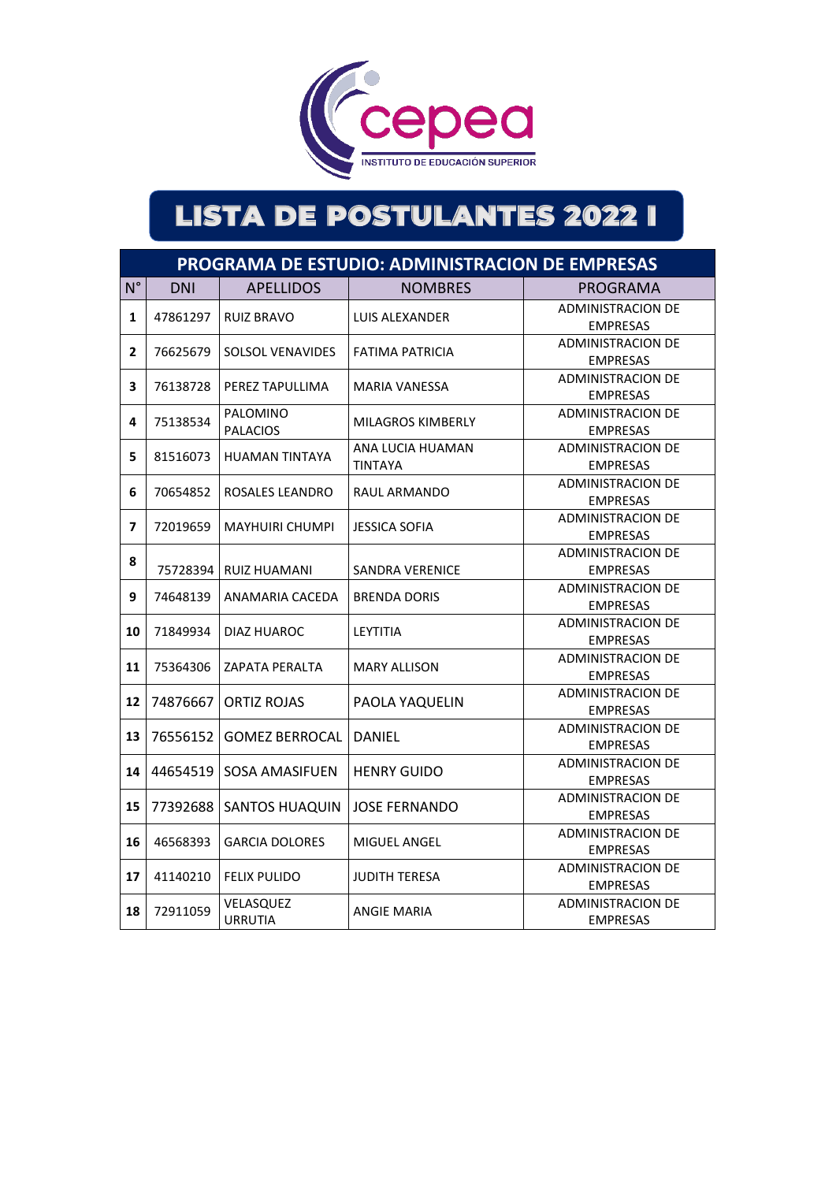

|                          | PROGRAMA DE ESTUDIO: ADMINISTRACION DE EMPRESAS |                             |                                    |                                             |  |  |
|--------------------------|-------------------------------------------------|-----------------------------|------------------------------------|---------------------------------------------|--|--|
| $N^{\circ}$              | <b>DNI</b>                                      | <b>APELLIDOS</b>            | <b>NOMBRES</b>                     | PROGRAMA                                    |  |  |
| 1                        | 47861297                                        | <b>RUIZ BRAVO</b>           | LUIS ALEXANDER                     | <b>ADMINISTRACION DE</b><br><b>EMPRESAS</b> |  |  |
| 2                        | 76625679                                        | <b>SOLSOL VENAVIDES</b>     | <b>FATIMA PATRICIA</b>             | <b>ADMINISTRACION DE</b><br><b>EMPRESAS</b> |  |  |
| 3                        | 76138728                                        | PEREZ TAPULLIMA             | <b>MARIA VANESSA</b>               | <b>ADMINISTRACION DE</b><br><b>EMPRESAS</b> |  |  |
| 4                        | 75138534                                        | PALOMINO<br><b>PALACIOS</b> | <b>MILAGROS KIMBERLY</b>           | <b>ADMINISTRACION DE</b><br><b>EMPRESAS</b> |  |  |
| 5                        | 81516073                                        | <b>HUAMAN TINTAYA</b>       | ANA LUCIA HUAMAN<br><b>TINTAYA</b> | <b>ADMINISTRACION DE</b><br><b>EMPRESAS</b> |  |  |
| 6                        | 70654852                                        | ROSALES LEANDRO             | RAUL ARMANDO                       | <b>ADMINISTRACION DE</b><br><b>EMPRESAS</b> |  |  |
| $\overline{\phantom{a}}$ | 72019659                                        | <b>MAYHUIRI CHUMPI</b>      | <b>JESSICA SOFIA</b>               | <b>ADMINISTRACION DE</b><br><b>EMPRESAS</b> |  |  |
| 8                        | 75728394                                        | RUIZ HUAMANI                | SANDRA VERENICE                    | <b>ADMINISTRACION DE</b><br><b>EMPRESAS</b> |  |  |
| 9                        | 74648139                                        | ANAMARIA CACEDA             | <b>BRENDA DORIS</b>                | <b>ADMINISTRACION DE</b><br><b>EMPRESAS</b> |  |  |
| 10                       | 71849934                                        | DIAZ HUAROC                 | LEYTITIA                           | <b>ADMINISTRACION DE</b><br><b>EMPRESAS</b> |  |  |
| 11                       | 75364306                                        | <b>ZAPATA PERALTA</b>       | <b>MARY ALLISON</b>                | <b>ADMINISTRACION DE</b><br><b>EMPRESAS</b> |  |  |
| 12                       | 74876667                                        | <b>ORTIZ ROJAS</b>          | PAOLA YAQUELIN                     | <b>ADMINISTRACION DE</b><br><b>EMPRESAS</b> |  |  |
| 13                       | 76556152                                        | <b>GOMEZ BERROCAL</b>       | <b>DANIEL</b>                      | <b>ADMINISTRACION DE</b><br><b>EMPRESAS</b> |  |  |
| 14                       | 44654519                                        | <b>SOSA AMASIFUEN</b>       | <b>HENRY GUIDO</b>                 | <b>ADMINISTRACION DE</b><br><b>EMPRESAS</b> |  |  |
| 15                       | 77392688                                        | <b>SANTOS HUAQUIN</b>       | <b>JOSE FERNANDO</b>               | <b>ADMINISTRACION DE</b><br><b>EMPRESAS</b> |  |  |
| 16                       | 46568393                                        | <b>GARCIA DOLORES</b>       | MIGUEL ANGEL                       | <b>ADMINISTRACION DE</b><br><b>EMPRESAS</b> |  |  |
| 17                       | 41140210                                        | <b>FELIX PULIDO</b>         | <b>JUDITH TERESA</b>               | <b>ADMINISTRACION DE</b><br><b>EMPRESAS</b> |  |  |
| 18                       | 72911059                                        | VELASQUEZ<br><b>URRUTIA</b> | <b>ANGIE MARIA</b>                 | <b>ADMINISTRACION DE</b><br><b>EMPRESAS</b> |  |  |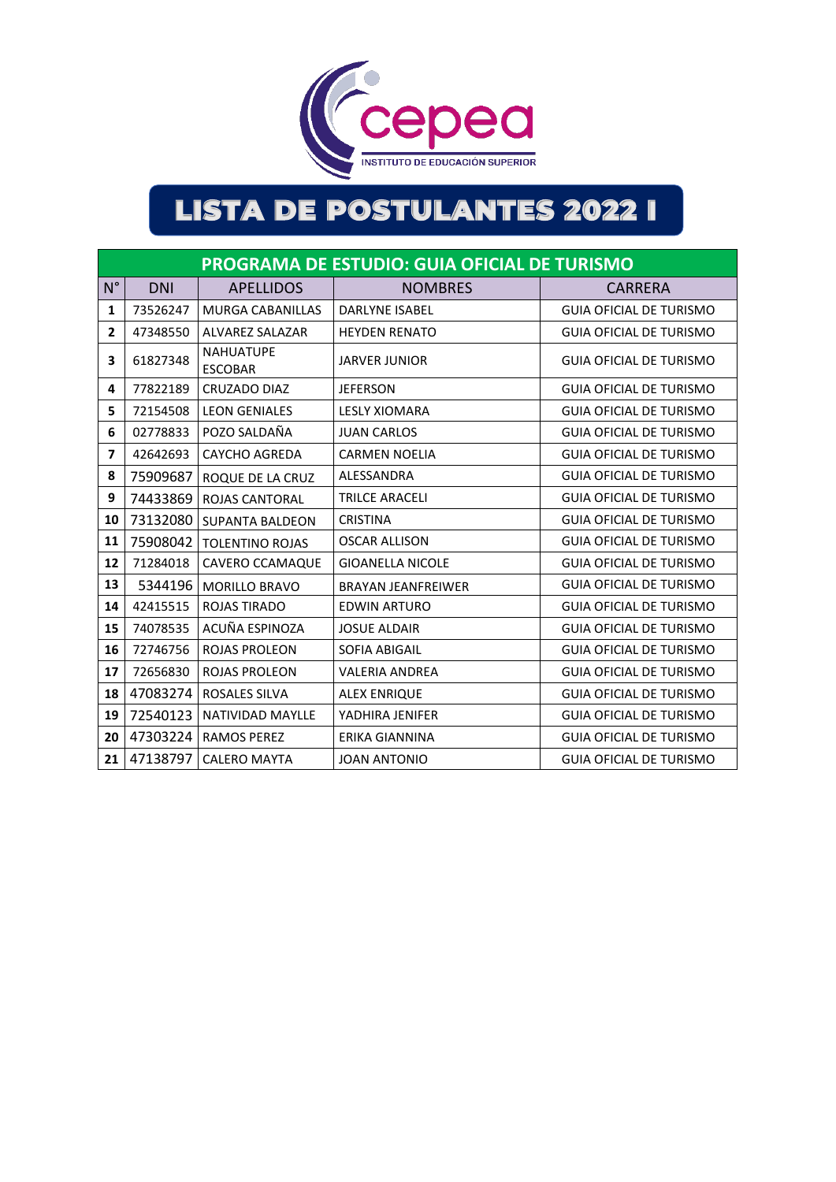

|                          | <b>PROGRAMA DE ESTUDIO: GUIA OFICIAL DE TURISMO</b> |                                    |                           |                                |  |  |
|--------------------------|-----------------------------------------------------|------------------------------------|---------------------------|--------------------------------|--|--|
| $N^{\circ}$              | <b>DNI</b>                                          | <b>APELLIDOS</b>                   | <b>NOMBRES</b><br>CARRERA |                                |  |  |
| 1                        | 73526247                                            | <b>MURGA CABANILLAS</b>            | <b>DARLYNE ISABEL</b>     | <b>GUIA OFICIAL DE TURISMO</b> |  |  |
| $\overline{2}$           | 47348550                                            | <b>ALVAREZ SALAZAR</b>             | <b>HEYDEN RENATO</b>      | <b>GUIA OFICIAL DE TURISMO</b> |  |  |
| 3                        | 61827348                                            | <b>NAHUATUPE</b><br><b>ESCOBAR</b> | <b>JARVER JUNIOR</b>      | <b>GUIA OFICIAL DE TURISMO</b> |  |  |
| 4                        | 77822189                                            | CRUZADO DIAZ                       | <b>JEFERSON</b>           | <b>GUIA OFICIAL DE TURISMO</b> |  |  |
| 5                        | 72154508                                            | <b>LEON GENIALES</b>               | <b>LESLY XIOMARA</b>      | <b>GUIA OFICIAL DE TURISMO</b> |  |  |
| 6                        | 02778833                                            | POZO SALDAÑA                       | <b>JUAN CARLOS</b>        | <b>GUIA OFICIAL DE TURISMO</b> |  |  |
| $\overline{\phantom{a}}$ | 42642693                                            | <b>CAYCHO AGREDA</b>               | <b>CARMEN NOELIA</b>      | <b>GUIA OFICIAL DE TURISMO</b> |  |  |
| 8                        | 75909687                                            | ROQUE DE LA CRUZ                   | ALESSANDRA                | <b>GUIA OFICIAL DE TURISMO</b> |  |  |
| 9                        | 74433869                                            | <b>ROJAS CANTORAL</b>              | <b>TRILCE ARACELI</b>     | <b>GUIA OFICIAL DE TURISMO</b> |  |  |
| 10                       |                                                     | 73132080 SUPANTA BALDEON           | <b>CRISTINA</b>           | <b>GUIA OFICIAL DE TURISMO</b> |  |  |
| 11                       | 75908042                                            | <b>TOLENTINO ROJAS</b>             | <b>OSCAR ALLISON</b>      | <b>GUIA OFICIAL DE TURISMO</b> |  |  |
| 12                       | 71284018                                            | CAVERO CCAMAQUE                    | <b>GIOANELLA NICOLE</b>   | <b>GUIA OFICIAL DE TURISMO</b> |  |  |
| 13                       | 5344196                                             | <b>MORILLO BRAVO</b>               | <b>BRAYAN JEANFREIWER</b> | <b>GUIA OFICIAL DE TURISMO</b> |  |  |
| 14                       | 42415515                                            | <b>ROJAS TIRADO</b>                | <b>EDWIN ARTURO</b>       | <b>GUIA OFICIAL DE TURISMO</b> |  |  |
| 15                       | 74078535                                            | ACUÑA ESPINOZA                     | <b>JOSUE ALDAIR</b>       | <b>GUIA OFICIAL DE TURISMO</b> |  |  |
| 16                       | 72746756                                            | <b>ROJAS PROLEON</b>               | <b>SOFIA ABIGAIL</b>      | <b>GUIA OFICIAL DE TURISMO</b> |  |  |
| 17                       | 72656830                                            | <b>ROJAS PROLEON</b>               | <b>VALERIA ANDREA</b>     | <b>GUIA OFICIAL DE TURISMO</b> |  |  |
| 18                       | 47083274                                            | <b>ROSALES SILVA</b>               | <b>ALEX ENRIQUE</b>       | <b>GUIA OFICIAL DE TURISMO</b> |  |  |
| 19                       | 72540123                                            | <b>NATIVIDAD MAYLLE</b>            | YADHIRA JENIFER           | <b>GUIA OFICIAL DE TURISMO</b> |  |  |
| 20                       | 47303224                                            | <b>RAMOS PEREZ</b>                 | <b>ERIKA GIANNINA</b>     | <b>GUIA OFICIAL DE TURISMO</b> |  |  |
| 21                       | 47138797                                            | <b>CALERO MAYTA</b>                | <b>JOAN ANTONIO</b>       | <b>GUIA OFICIAL DE TURISMO</b> |  |  |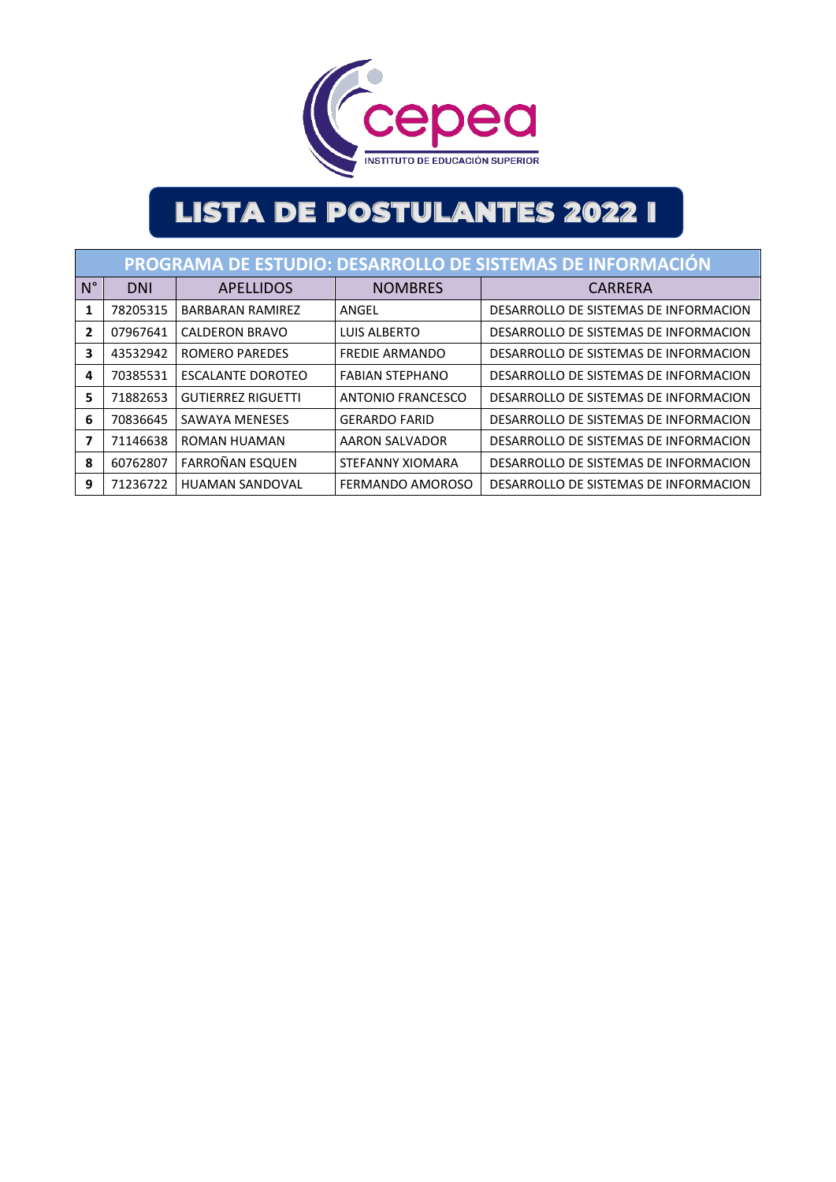

|              | PROGRAMA DE ESTUDIO: DESARROLLO DE SISTEMAS DE INFORMACIÓN |                           |                        |                                       |  |  |  |
|--------------|------------------------------------------------------------|---------------------------|------------------------|---------------------------------------|--|--|--|
| $N^{\circ}$  | <b>DNI</b>                                                 | <b>APELLIDOS</b>          | <b>NOMBRES</b>         | CARRERA                               |  |  |  |
| 1            | 78205315                                                   | BARBARAN RAMIREZ          | ANGEL                  | DESARROLLO DE SISTEMAS DE INFORMACION |  |  |  |
| $\mathbf{2}$ | 07967641                                                   | CALDERON BRAVO            | LUIS ALBERTO           | DESARROLLO DE SISTEMAS DE INFORMACION |  |  |  |
| 3            | 43532942                                                   | ROMERO PAREDES            | <b>FREDIE ARMANDO</b>  | DESARROLLO DE SISTEMAS DE INFORMACION |  |  |  |
| 4            | 70385531                                                   | ESCALANTE DOROTEO         | <b>FABIAN STEPHANO</b> | DESARROLLO DE SISTEMAS DE INFORMACION |  |  |  |
| 5            | 71882653                                                   | <b>GUTIERREZ RIGUETTI</b> | ANTONIO FRANCESCO      | DESARROLLO DE SISTEMAS DE INFORMACION |  |  |  |
| 6            | 70836645                                                   | SAWAYA MENESES            | <b>GERARDO FARID</b>   | DESARROLLO DE SISTEMAS DE INFORMACION |  |  |  |
| 7            | 71146638                                                   | ROMAN HUAMAN              | AARON SALVADOR         | DESARROLLO DE SISTEMAS DE INFORMACION |  |  |  |
| 8            | 60762807                                                   | <b>FARROÑAN ESQUEN</b>    | STEFANNY XIOMARA       | DESARROLLO DE SISTEMAS DE INFORMACION |  |  |  |
| 9            | 71236722                                                   | <b>HUAMAN SANDOVAL</b>    | FERMANDO AMOROSO       | DESARROLLO DE SISTEMAS DE INFORMACION |  |  |  |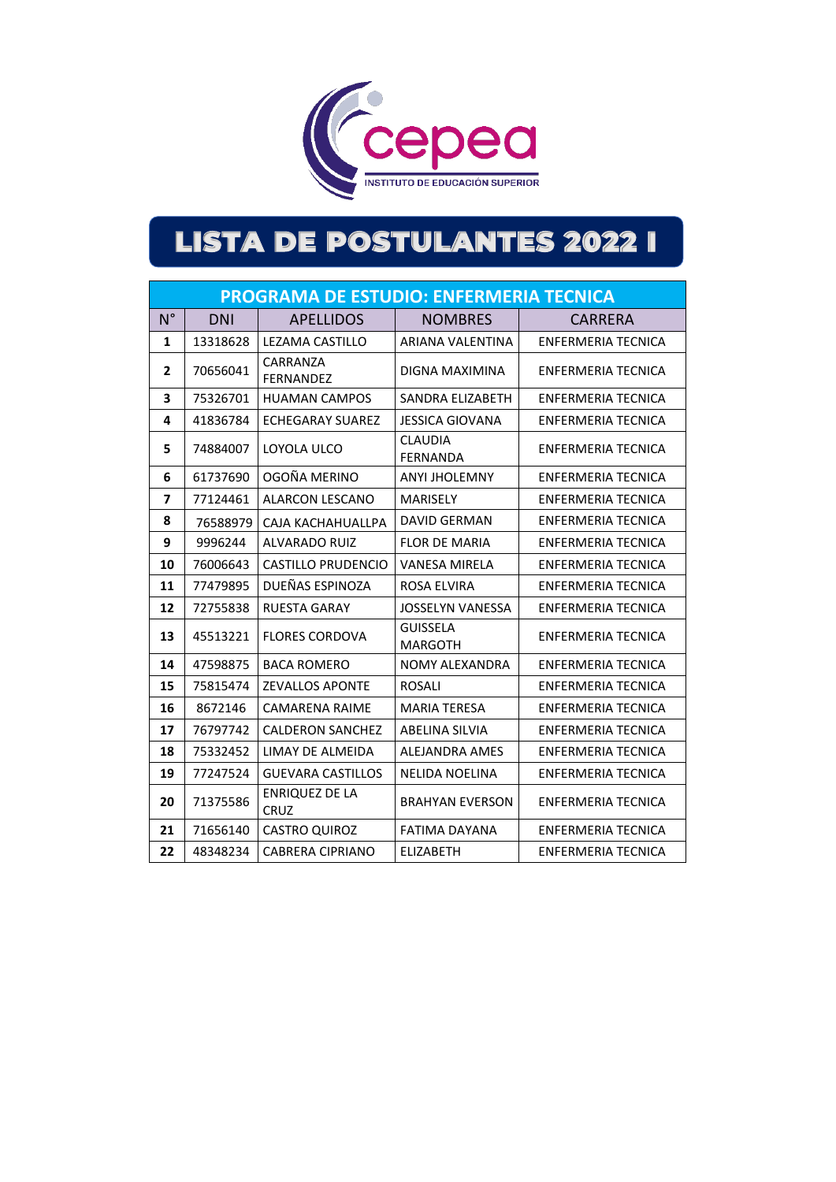

|             | <b>PROGRAMA DE ESTUDIO: ENFERMERIA TECNICA</b> |                                      |                                   |                           |  |  |  |
|-------------|------------------------------------------------|--------------------------------------|-----------------------------------|---------------------------|--|--|--|
| $N^{\circ}$ | <b>DNI</b>                                     | <b>APELLIDOS</b>                     | <b>NOMBRES</b>                    | CARRERA                   |  |  |  |
| 1           | 13318628                                       | LEZAMA CASTILLO                      | ARIANA VALENTINA                  | ENFERMERIA TECNICA        |  |  |  |
| 2           | 70656041                                       | CARRANZA<br><b>FERNANDEZ</b>         | DIGNA MAXIMINA                    | ENFERMERIA TECNICA        |  |  |  |
| 3           | 75326701                                       | <b>HUAMAN CAMPOS</b>                 | SANDRA ELIZABETH                  | <b>ENFERMERIA TECNICA</b> |  |  |  |
| 4           | 41836784                                       | <b>ECHEGARAY SUAREZ</b>              | <b>JESSICA GIOVANA</b>            | <b>ENFERMERIA TECNICA</b> |  |  |  |
| 5           | 74884007                                       | LOYOLA ULCO                          | <b>CLAUDIA</b><br><b>FERNANDA</b> | ENFERMERIA TECNICA        |  |  |  |
| 6           | 61737690                                       | OGOÑA MERINO                         | <b>ANYI JHOLEMNY</b>              | ENFERMERIA TECNICA        |  |  |  |
| 7           | 77124461                                       | <b>ALARCON LESCANO</b>               | <b>MARISELY</b>                   | ENFERMERIA TECNICA        |  |  |  |
| 8           | 76588979                                       | CAJA KACHAHUALLPA                    | DAVID GERMAN                      | ENFERMERIA TECNICA        |  |  |  |
| 9           | 9996244                                        | <b>ALVARADO RUIZ</b>                 | <b>FLOR DE MARIA</b>              | ENFERMERIA TECNICA        |  |  |  |
| 10          | 76006643                                       | CASTILLO PRUDENCIO                   | <b>VANESA MIRELA</b>              | ENFERMERIA TECNICA        |  |  |  |
| 11          | 77479895                                       | DUEÑAS ESPINOZA                      | ROSA ELVIRA                       | ENFERMERIA TECNICA        |  |  |  |
| 12          | 72755838                                       | <b>RUESTA GARAY</b>                  | <b>JOSSELYN VANESSA</b>           | <b>ENFERMERIA TECNICA</b> |  |  |  |
| 13          | 45513221                                       | <b>FLORES CORDOVA</b>                | <b>GUISSELA</b><br><b>MARGOTH</b> | ENFERMERIA TECNICA        |  |  |  |
| 14          | 47598875                                       | <b>BACA ROMERO</b>                   | <b>NOMY ALEXANDRA</b>             | ENFERMERIA TECNICA        |  |  |  |
| 15          | 75815474                                       | <b>ZEVALLOS APONTE</b>               | <b>ROSALI</b>                     | ENFERMERIA TECNICA        |  |  |  |
| 16          | 8672146                                        | CAMARENA RAIME                       | <b>MARIA TERESA</b>               | ENFERMERIA TECNICA        |  |  |  |
| 17          | 76797742                                       | <b>CALDERON SANCHEZ</b>              | <b>ABELINA SILVIA</b>             | <b>ENFERMERIA TECNICA</b> |  |  |  |
| 18          | 75332452                                       | LIMAY DE ALMEIDA                     | ALEJANDRA AMES                    | ENFERMERIA TECNICA        |  |  |  |
| 19          | 77247524                                       | <b>GUEVARA CASTILLOS</b>             | <b>NELIDA NOELINA</b>             | ENFERMERIA TECNICA        |  |  |  |
| 20          | 71375586                                       | <b>ENRIQUEZ DE LA</b><br><b>CRUZ</b> | <b>BRAHYAN EVERSON</b>            | <b>ENFERMERIA TECNICA</b> |  |  |  |
| 21          | 71656140                                       | <b>CASTRO QUIROZ</b>                 | <b>FATIMA DAYANA</b>              | <b>ENFERMERIA TECNICA</b> |  |  |  |
| 22          | 48348234                                       | <b>CABRERA CIPRIANO</b>              | <b>ELIZABETH</b>                  | ENFERMERIA TECNICA        |  |  |  |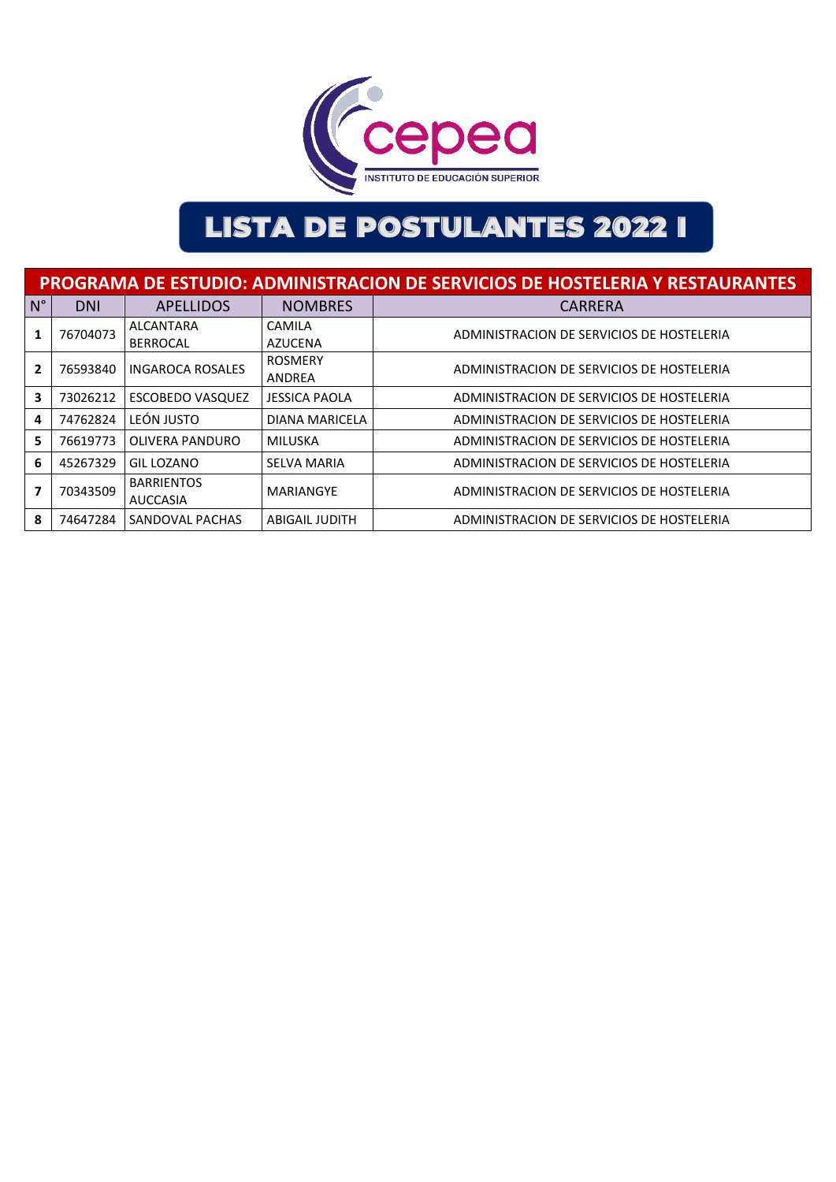

|             | <b>PROGRAMA DE ESTUDIO: ADMINISTRACION DE SERVICIOS DE HOSTELERIA Y RESTAURANTES</b> |                                      |                          |                                           |  |  |  |
|-------------|--------------------------------------------------------------------------------------|--------------------------------------|--------------------------|-------------------------------------------|--|--|--|
| $N^{\circ}$ | <b>DNI</b>                                                                           | <b>APELLIDOS</b>                     | <b>NOMBRES</b>           | <b>CARRERA</b>                            |  |  |  |
| 1           | 76704073                                                                             | <b>ALCANTARA</b><br><b>BERROCAL</b>  | CAMILA<br>AZUCENA        | ADMINISTRACION DE SERVICIOS DE HOSTELERIA |  |  |  |
| 2           | 76593840                                                                             | <b>INGAROCA ROSALES</b>              | <b>ROSMERY</b><br>ANDREA | ADMINISTRACION DE SERVICIOS DE HOSTELERIA |  |  |  |
| 3           | 73026212                                                                             | <b>ESCOBEDO VASQUEZ</b>              | <b>JESSICA PAOLA</b>     | ADMINISTRACION DE SERVICIOS DE HOSTELERIA |  |  |  |
| 4           | 74762824                                                                             | LEÓN JUSTO                           | <b>DIANA MARICELA</b>    | ADMINISTRACION DE SERVICIOS DE HOSTELERIA |  |  |  |
| 5           | 76619773                                                                             | OLIVERA PANDURO                      | MILUSKA                  | ADMINISTRACION DE SERVICIOS DE HOSTELERIA |  |  |  |
| 6           | 45267329                                                                             | <b>GIL LOZANO</b>                    | <b>SELVA MARIA</b>       | ADMINISTRACION DE SERVICIOS DE HOSTELERIA |  |  |  |
|             | 70343509                                                                             | <b>BARRIENTOS</b><br><b>AUCCASIA</b> | MARIANGYE                | ADMINISTRACION DE SERVICIOS DE HOSTELERIA |  |  |  |
| 8           | 74647284                                                                             | SANDOVAL PACHAS                      | <b>ABIGAIL JUDITH</b>    | ADMINISTRACION DE SERVICIOS DE HOSTELERIA |  |  |  |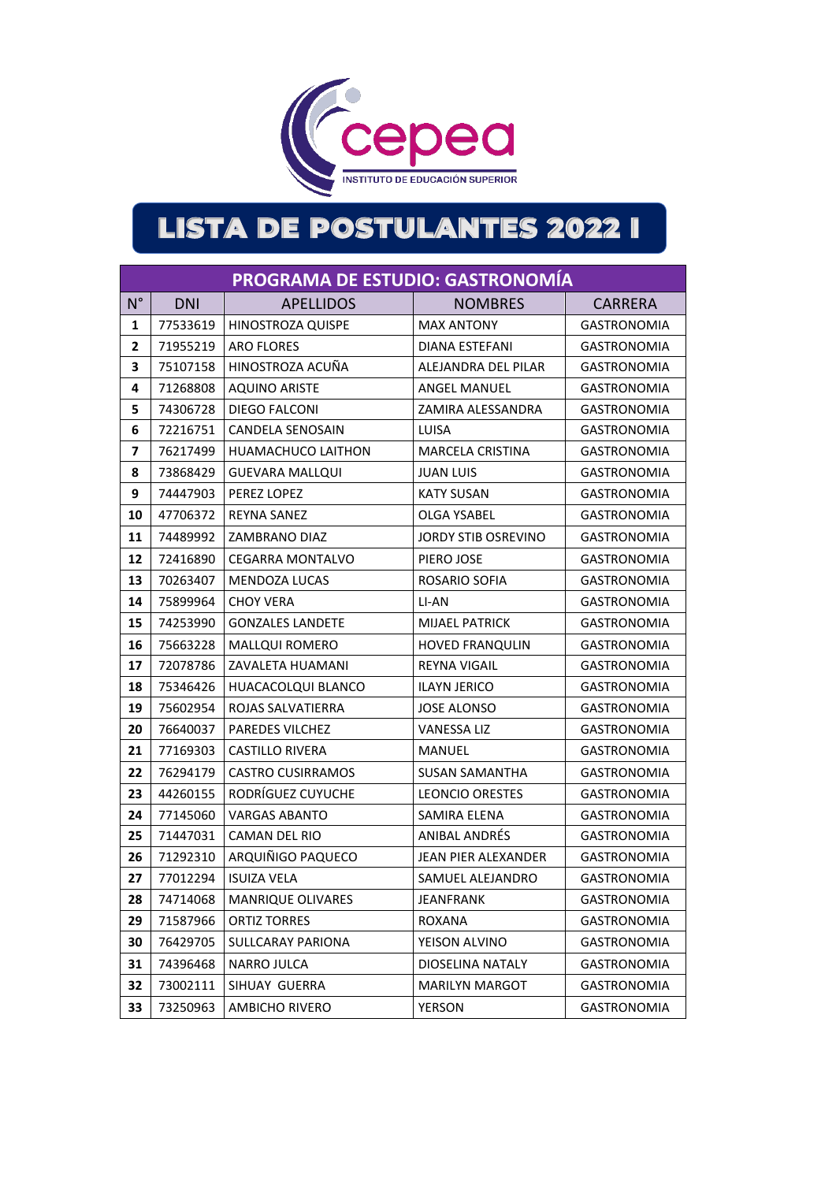

|                | <b>PROGRAMA DE ESTUDIO: GASTRONOMÍA</b> |                           |                            |                    |  |  |
|----------------|-----------------------------------------|---------------------------|----------------------------|--------------------|--|--|
| $N^{\circ}$    | <b>DNI</b>                              | <b>APELLIDOS</b>          | <b>NOMBRES</b>             | <b>CARRERA</b>     |  |  |
| 1              | 77533619                                | HINOSTROZA QUISPE         | <b>MAX ANTONY</b>          | <b>GASTRONOMIA</b> |  |  |
| $\mathbf{2}$   | 71955219                                | <b>ARO FLORES</b>         | DIANA ESTEFANI             | <b>GASTRONOMIA</b> |  |  |
| 3              | 75107158                                | HINOSTROZA ACUÑA          | ALEJANDRA DEL PILAR        | <b>GASTRONOMIA</b> |  |  |
| 4              | 71268808                                | <b>AQUINO ARISTE</b>      | <b>ANGEL MANUEL</b>        | <b>GASTRONOMIA</b> |  |  |
| 5              | 74306728                                | DIEGO FALCONI             | ZAMIRA ALESSANDRA          | <b>GASTRONOMIA</b> |  |  |
| 6              | 72216751                                | <b>CANDELA SENOSAIN</b>   | LUISA                      | <b>GASTRONOMIA</b> |  |  |
| $\overline{7}$ | 76217499                                | <b>HUAMACHUCO LAITHON</b> | <b>MARCELA CRISTINA</b>    | <b>GASTRONOMIA</b> |  |  |
| 8              | 73868429                                | GUEVARA MALLQUI           | <b>JUAN LUIS</b>           | <b>GASTRONOMIA</b> |  |  |
| 9              | 74447903                                | PEREZ LOPEZ               | <b>KATY SUSAN</b>          | <b>GASTRONOMIA</b> |  |  |
| 10             | 47706372                                | <b>REYNA SANEZ</b>        | OLGA YSABEL                | <b>GASTRONOMIA</b> |  |  |
| 11             | 74489992                                | ZAMBRANO DIAZ             | JORDY STIB OSREVINO        | <b>GASTRONOMIA</b> |  |  |
| 12             | 72416890                                | <b>CEGARRA MONTALVO</b>   | PIERO JOSE                 | GASTRONOMIA        |  |  |
| 13             | 70263407                                | <b>MENDOZA LUCAS</b>      | ROSARIO SOFIA              | <b>GASTRONOMIA</b> |  |  |
| 14             | 75899964                                | <b>CHOY VERA</b>          | LI-AN                      | <b>GASTRONOMIA</b> |  |  |
| 15             | 74253990                                | <b>GONZALES LANDETE</b>   | <b>MIJAEL PATRICK</b>      | <b>GASTRONOMIA</b> |  |  |
| 16             | 75663228                                | <b>MALLOUI ROMERO</b>     | <b>HOVED FRANQULIN</b>     | <b>GASTRONOMIA</b> |  |  |
| 17             | 72078786                                | ZAVALETA HUAMANI          | <b>REYNA VIGAIL</b>        | <b>GASTRONOMIA</b> |  |  |
| 18             | 75346426                                | HUACACOLQUI BLANCO        | <b>ILAYN JERICO</b>        | <b>GASTRONOMIA</b> |  |  |
| 19             | 75602954                                | ROJAS SALVATIERRA         | <b>JOSE ALONSO</b>         | <b>GASTRONOMIA</b> |  |  |
| 20             | 76640037                                | PAREDES VILCHEZ           | <b>VANESSA LIZ</b>         | <b>GASTRONOMIA</b> |  |  |
| 21             | 77169303                                | <b>CASTILLO RIVERA</b>    | MANUEL                     | <b>GASTRONOMIA</b> |  |  |
| 22             | 76294179                                | <b>CASTRO CUSIRRAMOS</b>  | <b>SUSAN SAMANTHA</b>      | <b>GASTRONOMIA</b> |  |  |
| 23             | 44260155                                | RODRÍGUEZ CUYUCHE         | <b>LEONCIO ORESTES</b>     | <b>GASTRONOMIA</b> |  |  |
| 24             | 77145060                                | <b>VARGAS ABANTO</b>      | <b>SAMIRA ELENA</b>        | <b>GASTRONOMIA</b> |  |  |
| 25             | 71447031                                | CAMAN DEL RIO             | <b>ANIBAL ANDRÉS</b>       | <b>GASTRONOMIA</b> |  |  |
| 26             | 71292310                                | ARQUIÑIGO PAQUECO         | <b>JEAN PIER ALEXANDER</b> | <b>GASTRONOMIA</b> |  |  |
| 27             | 77012294                                | <b>ISUIZA VELA</b>        | SAMUEL ALEJANDRO           | <b>GASTRONOMIA</b> |  |  |
| 28             | 74714068                                | <b>MANRIQUE OLIVARES</b>  | <b>JEANFRANK</b>           | <b>GASTRONOMIA</b> |  |  |
| 29             | 71587966                                | <b>ORTIZ TORRES</b>       | ROXANA                     | <b>GASTRONOMIA</b> |  |  |
| 30             | 76429705                                | SULLCARAY PARIONA         | YEISON ALVINO              | GASTRONOMIA        |  |  |
| 31             | 74396468                                | <b>NARRO JULCA</b>        | DIOSELINA NATALY           | <b>GASTRONOMIA</b> |  |  |
| 32             | 73002111                                | SIHUAY GUERRA             | <b>MARILYN MARGOT</b>      | <b>GASTRONOMIA</b> |  |  |
| 33             | 73250963                                | AMBICHO RIVERO            | <b>YERSON</b>              | <b>GASTRONOMIA</b> |  |  |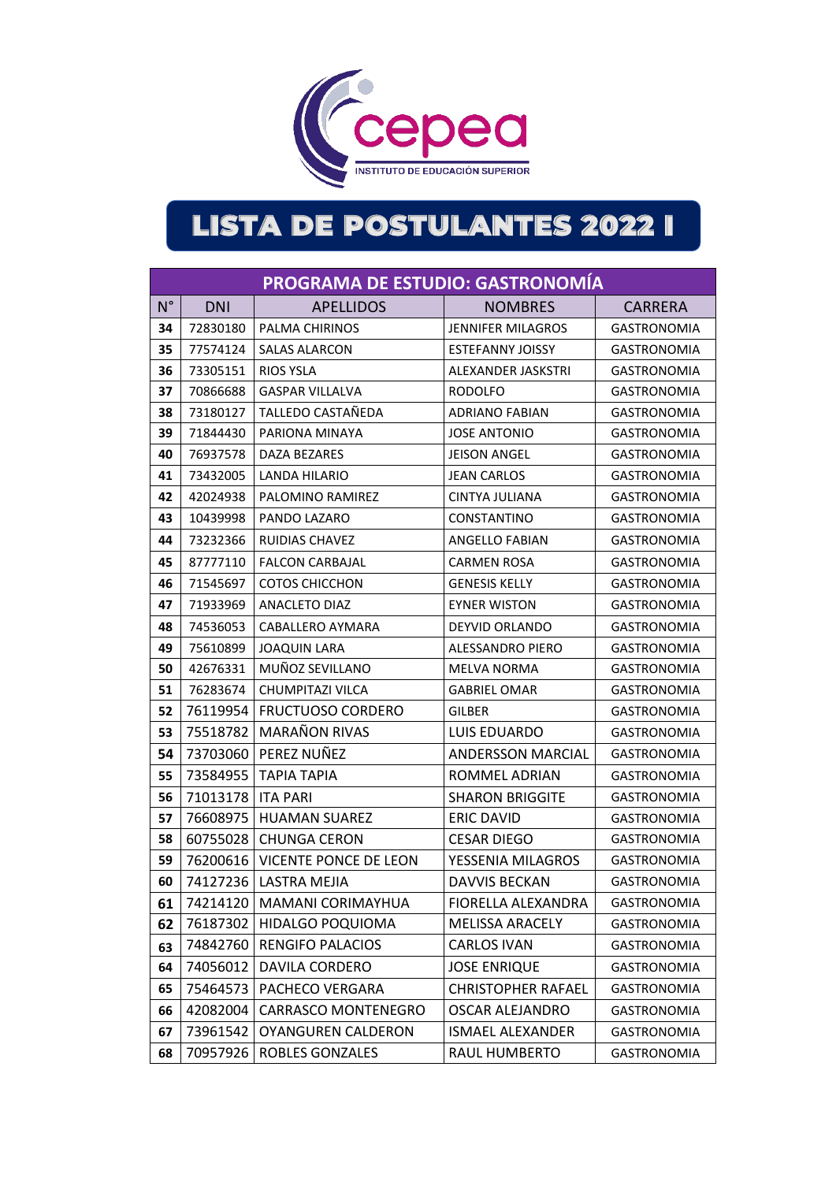

|             | PROGRAMA DE ESTUDIO: GASTRONOMÍA |                              |                           |                    |  |  |  |
|-------------|----------------------------------|------------------------------|---------------------------|--------------------|--|--|--|
| $N^{\circ}$ | <b>DNI</b>                       | <b>APELLIDOS</b>             | <b>NOMBRES</b>            | <b>CARRERA</b>     |  |  |  |
| 34          | 72830180                         | PALMA CHIRINOS               | <b>JENNIFER MILAGROS</b>  | <b>GASTRONOMIA</b> |  |  |  |
| 35          | 77574124                         | <b>SALAS ALARCON</b>         | <b>ESTEFANNY JOISSY</b>   | <b>GASTRONOMIA</b> |  |  |  |
| 36          | 73305151                         | <b>RIOS YSLA</b>             | ALEXANDER JASKSTRI        | <b>GASTRONOMIA</b> |  |  |  |
| 37          | 70866688                         | <b>GASPAR VILLALVA</b>       | <b>RODOLFO</b>            | <b>GASTRONOMIA</b> |  |  |  |
| 38          | 73180127                         | TALLEDO CASTAÑEDA            | <b>ADRIANO FABIAN</b>     | <b>GASTRONOMIA</b> |  |  |  |
| 39          | 71844430                         | PARIONA MINAYA               | <b>JOSE ANTONIO</b>       | <b>GASTRONOMIA</b> |  |  |  |
| 40          | 76937578                         | DAZA BEZARES                 | <b>JEISON ANGEL</b>       | <b>GASTRONOMIA</b> |  |  |  |
| 41          | 73432005                         | LANDA HILARIO                | <b>JEAN CARLOS</b>        | <b>GASTRONOMIA</b> |  |  |  |
| 42          | 42024938                         | PALOMINO RAMIREZ             | CINTYA JULIANA            | <b>GASTRONOMIA</b> |  |  |  |
| 43          | 10439998                         | PANDO LAZARO                 | CONSTANTINO               | <b>GASTRONOMIA</b> |  |  |  |
| 44          | 73232366                         | <b>RUIDIAS CHAVEZ</b>        | <b>ANGELLO FABIAN</b>     | <b>GASTRONOMIA</b> |  |  |  |
| 45          | 87777110                         | <b>FALCON CARBAJAL</b>       | <b>CARMEN ROSA</b>        | <b>GASTRONOMIA</b> |  |  |  |
| 46          | 71545697                         | COTOS CHICCHON               | <b>GENESIS KELLY</b>      | <b>GASTRONOMIA</b> |  |  |  |
| 47          | 71933969                         | ANACLETO DIAZ                | <b>EYNER WISTON</b>       | <b>GASTRONOMIA</b> |  |  |  |
| 48          | 74536053                         | CABALLERO AYMARA             | DEYVID ORLANDO            | <b>GASTRONOMIA</b> |  |  |  |
| 49          | 75610899                         | <b>JOAQUIN LARA</b>          | ALESSANDRO PIERO          | <b>GASTRONOMIA</b> |  |  |  |
| 50          | 42676331                         | MUÑOZ SEVILLANO              | <b>MELVA NORMA</b>        | <b>GASTRONOMIA</b> |  |  |  |
| 51          | 76283674                         | CHUMPITAZI VILCA             | <b>GABRIEL OMAR</b>       | <b>GASTRONOMIA</b> |  |  |  |
| 52          | 76119954                         | <b>FRUCTUOSO CORDERO</b>     | <b>GILBER</b>             | <b>GASTRONOMIA</b> |  |  |  |
| 53          | 75518782                         | <b>MARAÑON RIVAS</b>         | LUIS EDUARDO              | <b>GASTRONOMIA</b> |  |  |  |
| 54          | 73703060                         | PEREZ NUÑEZ                  | <b>ANDERSSON MARCIAL</b>  | <b>GASTRONOMIA</b> |  |  |  |
| 55          | 73584955                         | <b>TAPIA TAPIA</b>           | ROMMEL ADRIAN             | <b>GASTRONOMIA</b> |  |  |  |
| 56          | 71013178                         | <b>ITA PARI</b>              | <b>SHARON BRIGGITE</b>    | <b>GASTRONOMIA</b> |  |  |  |
| 57          | 76608975                         | <b>HUAMAN SUAREZ</b>         | <b>ERIC DAVID</b>         | <b>GASTRONOMIA</b> |  |  |  |
| 58          | 60755028                         | <b>CHUNGA CERON</b>          | <b>CESAR DIEGO</b>        | <b>GASTRONOMIA</b> |  |  |  |
| 59          | 76200616                         | VICENTE PONCE DE LEON        | YESSENIA MILAGROS         | <b>GASTRONOMIA</b> |  |  |  |
| 60          |                                  | 74127236   LASTRA MEJIA      | <b>DAVVIS BECKAN</b>      | <b>GASTRONOMIA</b> |  |  |  |
| 61          |                                  | 74214120   MAMANI CORIMAYHUA | FIORELLA ALEXANDRA        | <b>GASTRONOMIA</b> |  |  |  |
| 62          | 76187302                         | HIDALGO POQUIOMA             | <b>MELISSA ARACELY</b>    | <b>GASTRONOMIA</b> |  |  |  |
| 63          | 74842760                         | <b>RENGIFO PALACIOS</b>      | <b>CARLOS IVAN</b>        | <b>GASTRONOMIA</b> |  |  |  |
| 64          | 74056012                         | DAVILA CORDERO               | <b>JOSE ENRIQUE</b>       | <b>GASTRONOMIA</b> |  |  |  |
| 65          | 75464573                         | PACHECO VERGARA              | <b>CHRISTOPHER RAFAEL</b> | <b>GASTRONOMIA</b> |  |  |  |
| 66          | 42082004                         | <b>CARRASCO MONTENEGRO</b>   | <b>OSCAR ALEJANDRO</b>    | <b>GASTRONOMIA</b> |  |  |  |
| 67          | 73961542                         | <b>OYANGUREN CALDERON</b>    | <b>ISMAEL ALEXANDER</b>   | <b>GASTRONOMIA</b> |  |  |  |
| 68          | 70957926                         | <b>ROBLES GONZALES</b>       | RAUL HUMBERTO             | <b>GASTRONOMIA</b> |  |  |  |